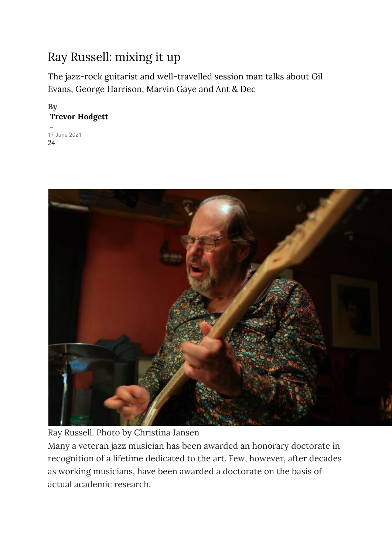## Ray Russell: mixing it up

The jazz-rock guitarist and well-travelled session man talks about Gil Evans, George Harrison, Marvin Gaye and Ant & Dec



17 June 2021 24



Ray Russell. Photo by Christina Jansen

Many a veteran jazz musician has been awarded an honorary doctorate in recognition of a lifetime dedicated to the art. Few, however, after decades as working musicians, have been awarded a doctorate on the basis of actual academic research.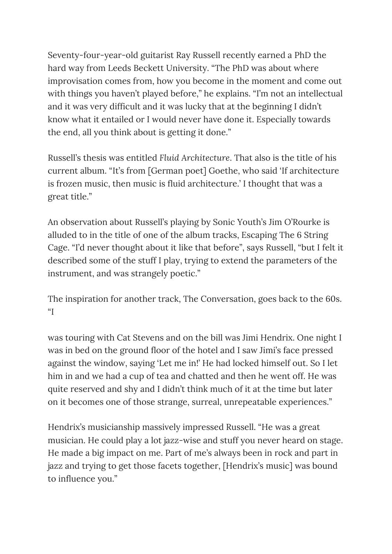Seventy-four-year-old guitarist Ray Russell recently earned a PhD the hard way from Leeds Beckett University. "The PhD was about where improvisation comes from, how you become in the moment and come out with things you haven't played before," he explains. "I'm not an intellectual and it was very difficult and it was lucky that at the beginning I didn't know what it entailed or I would never have done it. Especially towards the end, all you think about is getting it done."

Russell's thesis was entitled *Fluid Architecture*. That also is the title of his current album. "It's from [German poet] Goethe, who said 'If architecture is frozen music, then music is fluid architecture.' I thought that was a great title."

An observation about Russell's playing by Sonic Youth's Jim O'Rourke is alluded to in the title of one of the album tracks, Escaping The 6 String Cage. "I'd never thought about it like that before", says Russell, "but I felt it described some of the stuff I play, trying to extend the parameters of the instrument, and was strangely poetic."

The inspiration for another track, The Conversation, goes back to the 60s.  $"$ <sup>"</sup>

was touring with Cat Stevens and on the bill was Jimi Hendrix. One night I was in bed on the ground floor of the hotel and I saw Jimi's face pressed against the window, saying 'Let me in!' He had locked himself out. So I let him in and we had a cup of tea and chatted and then he went off. He was quite reserved and shy and I didn't think much of it at the time but later on it becomes one of those strange, surreal, unrepeatable experiences."

Hendrix's musicianship massively impressed Russell. "He was a great musician. He could play a lot jazz-wise and stuff you never heard on stage. He made a big impact on me. Part of me's always been in rock and part in jazz and trying to get those facets together, [Hendrix's music] was bound to influence you."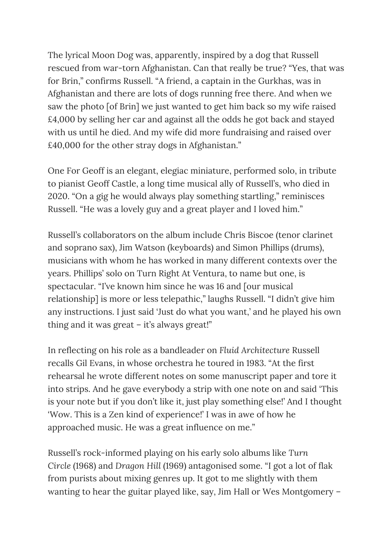The lyrical Moon Dog was, apparently, inspired by a dog that Russell rescued from war-torn Afghanistan. Can that really be true? "Yes, that was for Brin," confirms Russell. "A friend, a captain in the Gurkhas, was in Afghanistan and there are lots of dogs running free there. And when we saw the photo [of Brin] we just wanted to get him back so my wife raised £4,000 by selling her car and against all the odds he got back and stayed with us until he died. And my wife did more fundraising and raised over £40,000 for the other stray dogs in Afghanistan."

One For Geoff is an elegant, elegiac miniature, performed solo, in tribute to pianist Geoff Castle, a long time musical ally of Russell's, who died in 2020. "On a gig he would always play something startling," reminisces Russell. "He was a lovely guy and a great player and I loved him."

Russell's collaborators on the album include Chris Biscoe (tenor clarinet and soprano sax), Jim Watson (keyboards) and Simon Phillips (drums), musicians with whom he has worked in many different contexts over the years. Phillips' solo on Turn Right At Ventura, to name but one, is spectacular. "I've known him since he was 16 and [our musical relationship] is more or less telepathic," laughs Russell. "I didn't give him any instructions. I just said 'Just do what you want,' and he played his own thing and it was great – it's always great!"

In reflecting on his role as a bandleader on *Fluid Architecture* Russell recalls Gil Evans, in whose orchestra he toured in 1983. "At the first rehearsal he wrote different notes on some manuscript paper and tore it into strips. And he gave everybody a strip with one note on and said 'This is your note but if you don't like it, just play something else!' And I thought 'Wow. This is a Zen kind of experience!' I was in awe of how he approached music. He was a great influence on me."

Russell's rock-informed playing on his early solo albums like *Turn Circle* (1968) and *Dragon Hill* (1969) antagonised some. "I got a lot of flak from purists about mixing genres up. It got to me slightly with them wanting to hear the guitar played like, say, Jim Hall or Wes Montgomery –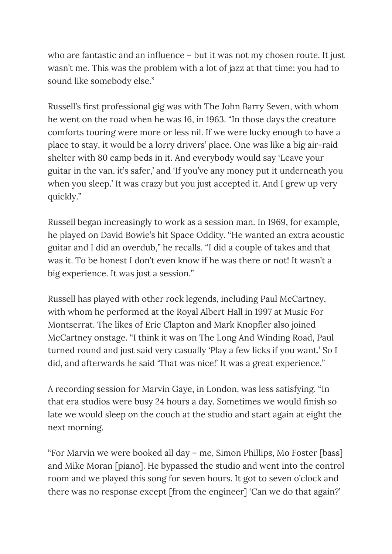who are fantastic and an influence – but it was not my chosen route. It just wasn't me. This was the problem with a lot of jazz at that time: you had to sound like somebody else."

Russell's first professional gig was with The John Barry Seven, with whom he went on the road when he was 16, in 1963. "In those days the creature comforts touring were more or less nil. If we were lucky enough to have a place to stay, it would be a lorry drivers' place. One was like a big air-raid shelter with 80 camp beds in it. And everybody would say 'Leave your guitar in the van, it's safer,' and 'If you've any money put it underneath you when you sleep.' It was crazy but you just accepted it. And I grew up very quickly."

Russell began increasingly to work as a session man. In 1969, for example, he played on David Bowie's hit Space Oddity. "He wanted an extra acoustic guitar and I did an overdub," he recalls. "I did a couple of takes and that was it. To be honest I don't even know if he was there or not! It wasn't a big experience. It was just a session."

Russell has played with other rock legends, including Paul McCartney, with whom he performed at the Royal Albert Hall in 1997 at Music For Montserrat. The likes of Eric Clapton and Mark Knopfler also joined McCartney onstage. "I think it was on The Long And Winding Road, Paul turned round and just said very casually 'Play a few licks if you want.' So I did, and afterwards he said 'That was nice!' It was a great experience."

A recording session for Marvin Gaye, in London, was less satisfying. "In that era studios were busy 24 hours a day. Sometimes we would finish so late we would sleep on the couch at the studio and start again at eight the next morning.

"For Marvin we were booked all day – me, Simon Phillips, Mo Foster [bass] and Mike Moran [piano]. He bypassed the studio and went into the control room and we played this song for seven hours. It got to seven o'clock and there was no response except [from the engineer] 'Can we do that again?'